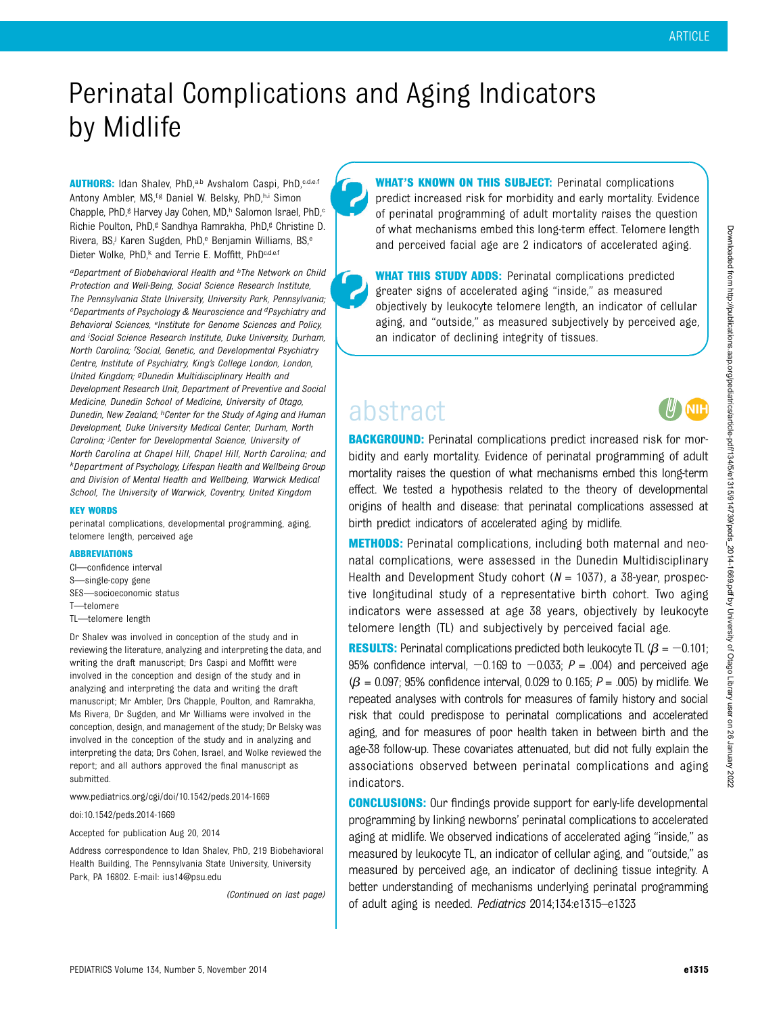# Perinatal Complications and Aging Indicators by Midlife

AUTHORS: Idan Shalev, PhD,<sup>a,b</sup> Avshalom Caspi, PhD,<sup>c,d,e,f</sup> Antony Ambler, MS,<sup>f,g</sup> Daniel W. Belsky, PhD,h,i Simon Chapple, PhD,<sup>g</sup> Harvey Jay Cohen, MD,<sup>h</sup> Salomon Israel, PhD,<sup>c</sup> Richie Poulton, PhD,<sup>g</sup> Sandhya Ramrakha, PhD,<sup>g</sup> Christine D. Rivera, BS,<sup>j</sup> Karen Sugden, PhD,<sup>e</sup> Benjamin Williams, BS,<sup>e</sup> Dieter Wolke, PhD,<sup>k</sup> and Terrie E. Moffitt, PhD<sup>c,d,e,f</sup>

aDepartment of Biobehavioral Health and <sup>b</sup>The Network on Child Protection and Well-Being, Social Science Research Institute, The Pennsylvania State University, University Park, Pennsylvania; cDepartments of Psychology & Neuroscience and dPsychiatry and Behavioral Sciences, eInstitute for Genome Sciences and Policy, and <sup>i</sup> Social Science Research Institute, Duke University, Durham, North Carolina; <sup>f</sup>Social, Genetic, and Developmental Psychiatry Centre, Institute of Psychiatry, King's College London, London, United Kingdom; <sup>g</sup>Dunedin Multidisciplinary Health and Development Research Unit, Department of Preventive and Social Medicine, Dunedin School of Medicine, University of Otago, Dunedin, New Zealand; hCenter for the Study of Aging and Human Development, Duke University Medical Center, Durham, North Carolina; *J*Center for Developmental Science, University of North Carolina at Chapel Hill, Chapel Hill, North Carolina; and kDepartment of Psychology, Lifespan Health and Wellbeing Group and Division of Mental Health and Wellbeing, Warwick Medical School, The University of Warwick, Coventry, United Kingdom

#### KEY WORDS

perinatal complications, developmental programming, aging, telomere length, perceived age

#### ABBREVIATIONS

CI—confidence interval S—single-copy gene SES—socioeconomic status T—telomere TL—telomere length

Dr Shalev was involved in conception of the study and in reviewing the literature, analyzing and interpreting the data, and writing the draft manuscript; Drs Caspi and Moffitt were involved in the conception and design of the study and in analyzing and interpreting the data and writing the draft manuscript; Mr Ambler, Drs Chapple, Poulton, and Ramrakha, Ms Rivera, Dr Sugden, and Mr Williams were involved in the conception, design, and management of the study; Dr Belsky was involved in the conception of the study and in analyzing and interpreting the data; Drs Cohen, Israel, and Wolke reviewed the report; and all authors approved the final manuscript as submitted.

www.pediatrics.org/cgi/doi/10.1542/peds.2014-1669

doi:10.1542/peds.2014-1669

Accepted for publication Aug 20, 2014

Address correspondence to Idan Shalev, PhD, 219 Biobehavioral Health Building, The Pennsylvania State University, University Park, PA 16802. E-mail: [ius14@psu.edu](mailto:ius14@psu.edu)

(Continued on last page)

WHAT'S KNOWN ON THIS SUBJECT: Perinatal complications predict increased risk for morbidity and early mortality. Evidence of perinatal programming of adult mortality raises the question of what mechanisms embed this long-term effect. Telomere length and perceived facial age are 2 indicators of accelerated aging.

WHAT THIS STUDY ADDS: Perinatal complications predicted greater signs of accelerated aging "inside," as measured objectively by leukocyte telomere length, an indicator of cellular aging, and "outside," as measured subjectively by perceived age, an indicator of declining integrity of tissues.

## abstract



**BACKGROUND:** Perinatal complications predict increased risk for morbidity and early mortality. Evidence of perinatal programming of adult mortality raises the question of what mechanisms embed this long-term effect. We tested a hypothesis related to the theory of developmental origins of health and disease: that perinatal complications assessed at birth predict indicators of accelerated aging by midlife.

**METHODS:** Perinatal complications, including both maternal and neonatal complications, were assessed in the Dunedin Multidisciplinary Health and Development Study cohort  $(N = 1037)$ , a 38-year, prospective longitudinal study of a representative birth cohort. Two aging indicators were assessed at age 38 years, objectively by leukocyte telomere length (TL) and subjectively by perceived facial age.

**RESULTS:** Perinatal complications predicted both leukocyte TL ( $\beta = -0.101$ ; 95% confidence interval,  $-0.169$  to  $-0.033$ ;  $P = .004$ ) and perceived age  $(\beta = 0.097; 95\%$  confidence interval, 0.029 to 0.165;  $P = .005$ ) by midlife. We repeated analyses with controls for measures of family history and social risk that could predispose to perinatal complications and accelerated aging, and for measures of poor health taken in between birth and the age-38 follow-up. These covariates attenuated, but did not fully explain the associations observed between perinatal complications and aging indicators.

**CONCLUSIONS:** Our findings provide support for early-life developmental programming by linking newborns' perinatal complications to accelerated aging at midlife. We observed indications of accelerated aging "inside," as measured by leukocyte TL, an indicator of cellular aging, and "outside," as measured by perceived age, an indicator of declining tissue integrity. A better understanding of mechanisms underlying perinatal programming of adult aging is needed. Pediatrics 2014;134:e1315–e1323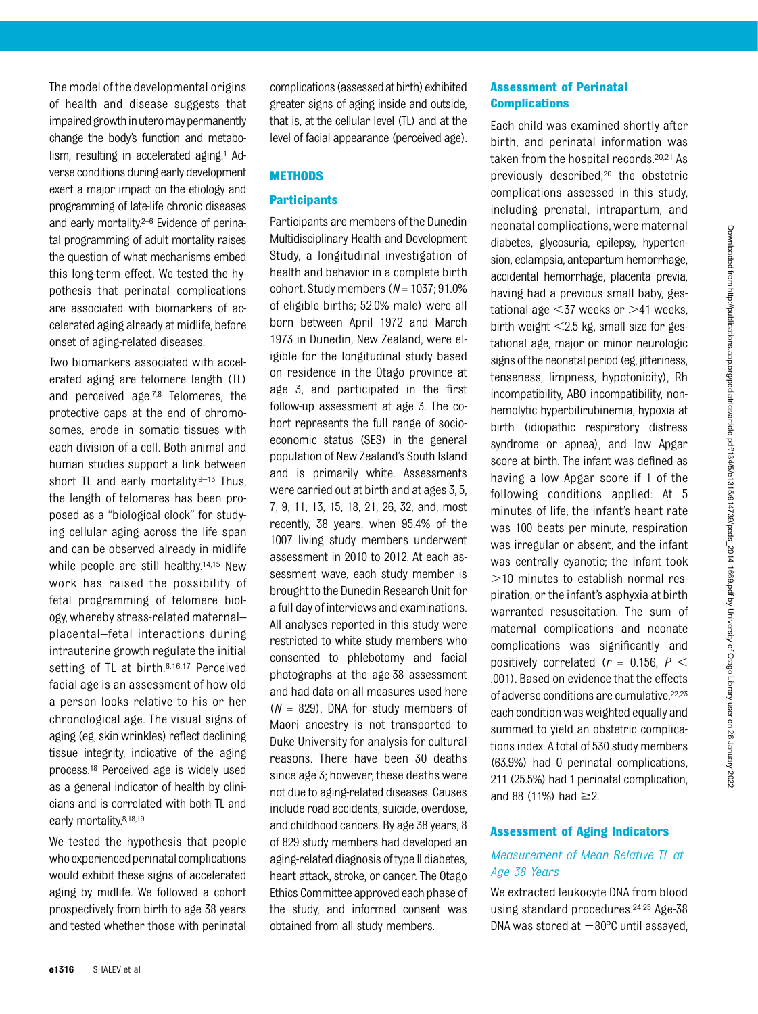The model of the developmental origins of health and disease suggests that impaired growth in utero may permanently change the body's function and metabolism, resulting in accelerated aging.<sup>1</sup> Adverse conditions during early development exert a major impact on the etiology and programming of late-life chronic diseases and early mortality.<sup>2–6</sup> Evidence of perinatal programming of adult mortality raises the question of what mechanisms embed this long-term effect. We tested the hypothesis that perinatal complications are associated with biomarkers of accelerated aging already at midlife, before onset of aging-related diseases.

Two biomarkers associated with accelerated aging are telomere length (TL) and perceived age.7,8 Telomeres, the protective caps at the end of chromosomes, erode in somatic tissues with each division of a cell. Both animal and human studies support a link between short TL and early mortality. $9-13$  Thus, the length of telomeres has been proposed as a "biological clock" for studying cellular aging across the life span and can be observed already in midlife while people are still healthy.<sup>14,15</sup> New work has raised the possibility of fetal programming of telomere biology, whereby stress-related maternal– placental–fetal interactions during intrauterine growth regulate the initial setting of TL at birth.6,16,17 Perceived facial age is an assessment of how old a person looks relative to his or her chronological age. The visual signs of aging (eg, skin wrinkles) reflect declining tissue integrity, indicative of the aging process.18 Perceived age is widely used as a general indicator of health by clinicians and is correlated with both TL and early mortality.<sup>8,18,19</sup>

We tested the hypothesis that people who experienced perinatal complications would exhibit these signs of accelerated aging by midlife. We followed a cohort prospectively from birth to age 38 years and tested whether those with perinatal complications (assessed at birth) exhibited greater signs of aging inside and outside, that is, at the cellular level (TL) and at the level of facial appearance (perceived age).

## **METHODS**

## **Participants**

Participants are members of the Dunedin Multidisciplinary Health and Development Study, a longitudinal investigation of health and behavior in a complete birth cohort. Study members  $(N = 1037; 91.0\%)$ of eligible births; 52.0% male) were all born between April 1972 and March 1973 in Dunedin, New Zealand, were eligible for the longitudinal study based on residence in the Otago province at age 3, and participated in the first follow-up assessment at age 3. The cohort represents the full range of socioeconomic status (SES) in the general population of New Zealand's South Island and is primarily white. Assessments were carried out at birth and at ages 3, 5, 7, 9, 11, 13, 15, 18, 21, 26, 32, and, most recently, 38 years, when 95.4% of the 1007 living study members underwent assessment in 2010 to 2012. At each assessment wave, each study member is brought to the Dunedin Research Unit for a full day of interviews and examinations. All analyses reported in this study were restricted to white study members who consented to phlebotomy and facial photographs at the age-38 assessment and had data on all measures used here  $(N = 829)$ . DNA for study members of Maori ancestry is not transported to Duke University for analysis for cultural reasons. There have been 30 deaths since age 3; however, these deaths were not due to aging-related diseases. Causes include road accidents, suicide, overdose, and childhood cancers. By age 38 years, 8 of 829 study members had developed an aging-related diagnosis of type II diabetes, heart attack, stroke, or cancer. The Otago Ethics Committee approved each phase of the study, and informed consent was obtained from all study members.

## Assessment of Perinatal **Complications**

Each child was examined shortly after birth, and perinatal information was taken from the hospital records.20,21 As previously described,20 the obstetric complications assessed in this study, including prenatal, intrapartum, and neonatal complications, were maternal diabetes, glycosuria, epilepsy, hypertension, eclampsia, antepartum hemorrhage, accidental hemorrhage, placenta previa, having had a previous small baby, gestational age  $<$ 37 weeks or  $>$ 41 weeks, birth weight  $<$ 2.5 kg, small size for gestational age, major or minor neurologic signs of the neonatal period (eg. jitteriness, tenseness, limpness, hypotonicity), Rh incompatibility, ABO incompatibility, nonhemolytic hyperbilirubinemia, hypoxia at birth (idiopathic respiratory distress syndrome or apnea), and low Apgar score at birth. The infant was defined as having a low Apgar score if 1 of the following conditions applied: At 5 minutes of life, the infant's heart rate was 100 beats per minute, respiration was irregular or absent, and the infant was centrally cyanotic; the infant took  $>$ 10 minutes to establish normal respiration; or the infant's asphyxia at birth warranted resuscitation. The sum of maternal complications and neonate complications was significantly and positively correlated ( $r = 0.156$ ,  $P <$ .001). Based on evidence that the effects of adverse conditions are cumulative, 22,23 each condition was weighted equally and summed to yield an obstetric complications index. A total of 530 study members (63.9%) had 0 perinatal complications, 211 (25.5%) had 1 perinatal complication, and 88 (11%) had  $\geq$ 2.

## Assessment of Aging Indicators

## Measurement of Mean Relative TL at Age 38 Years

We extracted leukocyte DNA from blood using standard procedures.24,25 Age-38 DNA was stored at  $-80^{\circ}$ C until assayed,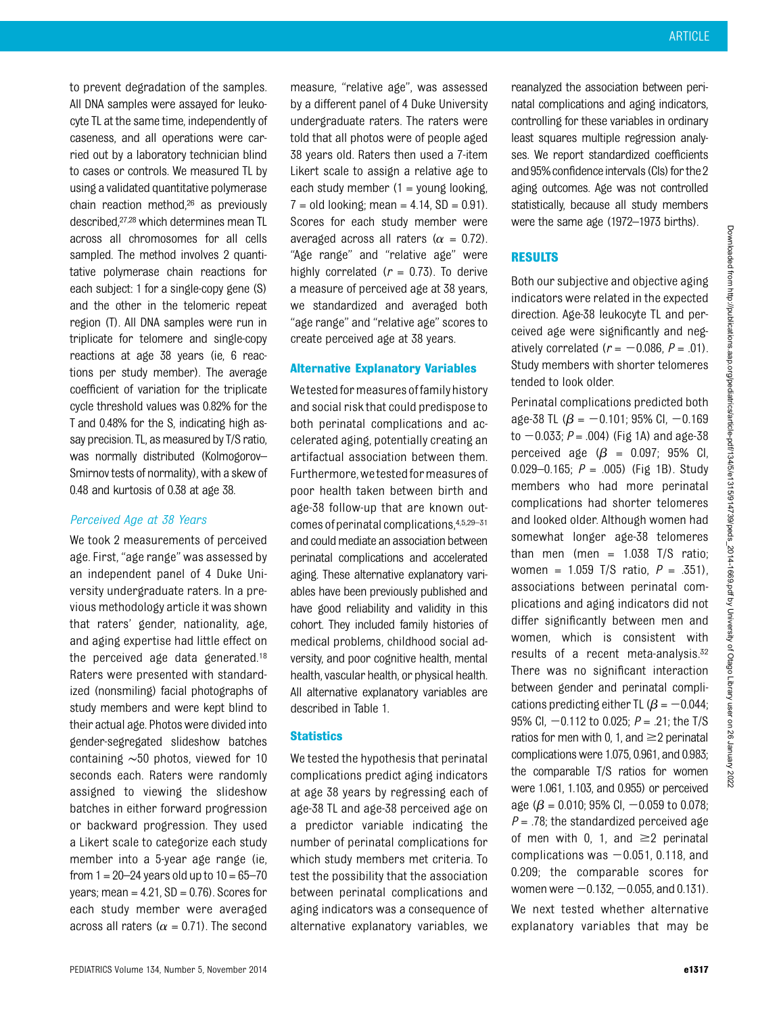to prevent degradation of the samples. All DNA samples were assayed for leukocyte TL at the same time, independently of caseness, and all operations were carried out by a laboratory technician blind to cases or controls. We measured TL by using a validated quantitative polymerase chain reaction method,26 as previously described,<sup>27,28</sup> which determines mean TL across all chromosomes for all cells sampled. The method involves 2 quantitative polymerase chain reactions for each subject: 1 for a single-copy gene (S) and the other in the telomeric repeat region (T). All DNA samples were run in triplicate for telomere and single-copy reactions at age 38 years (ie, 6 reactions per study member). The average coefficient of variation for the triplicate cycle threshold values was 0.82% for the T and 0.48% for the S, indicating high assay precision. TL, as measured by T/S ratio, was normally distributed (Kolmogorov– Smirnov tests of normality), with a skew of 0.48 and kurtosis of 0.38 at age 38.

#### Perceived Age at 38 Years

We took 2 measurements of perceived age. First, "age range" was assessed by an independent panel of 4 Duke University undergraduate raters. In a previous methodology article it was shown that raters' gender, nationality, age, and aging expertise had little effect on the perceived age data generated.18 Raters were presented with standardized (nonsmiling) facial photographs of study members and were kept blind to their actual age. Photos were divided into gender-segregated slideshow batches containing ∼50 photos, viewed for 10 seconds each. Raters were randomly assigned to viewing the slideshow batches in either forward progression or backward progression. They used a Likert scale to categorize each study member into a 5-year age range (ie, from  $1 = 20 - 24$  years old up to  $10 = 65 - 70$ years; mean =  $4.21$ ,  $SD = 0.76$ ). Scores for each study member were averaged across all raters ( $\alpha = 0.71$ ). The second

measure, "relative age", was assessed by a different panel of 4 Duke University undergraduate raters. The raters were told that all photos were of people aged 38 years old. Raters then used a 7-item Likert scale to assign a relative age to each study member  $(1 =$  young looking,  $7 = old$  looking; mean  $= 4.14$ , SD  $= 0.91$ ). Scores for each study member were averaged across all raters ( $\alpha = 0.72$ ). "Age range" and "relative age" were highly correlated  $(r = 0.73)$ . To derive a measure of perceived age at 38 years, we standardized and averaged both "age range" and "relative age" scores to create perceived age at 38 years.

## Alternative Explanatory Variables

We tested for measures of family history and social risk that could predispose to both perinatal complications and accelerated aging, potentially creating an artifactual association between them. Furthermore, we tested for measures of poor health taken between birth and age-38 follow-up that are known outcomes of perinatal complications, $4,5,29-31$ and could mediate an association between perinatal complications and accelerated aging. These alternative explanatory variables have been previously published and have good reliability and validity in this cohort. They included family histories of medical problems, childhood social adversity, and poor cognitive health, mental health, vascular health, or physical health. All alternative explanatory variables are described in Table 1.

## **Statistics**

We tested the hypothesis that perinatal complications predict aging indicators at age 38 years by regressing each of age-38 TL and age-38 perceived age on a predictor variable indicating the number of perinatal complications for which study members met criteria. To test the possibility that the association between perinatal complications and aging indicators was a consequence of alternative explanatory variables, we

reanalyzed the association between perinatal complications and aging indicators, controlling for these variables in ordinary least squares multiple regression analyses. We report standardized coefficients and 95% confidence intervals (CIs) for the 2 aging outcomes. Age was not controlled statistically, because all study members were the same age (1972–1973 births).

## RESULTS

Both our subjective and objective aging indicators were related in the expected direction. Age-38 leukocyte TL and perceived age were significantly and negatively correlated ( $r = -0.086$ ,  $P = .01$ ). Study members with shorter telomeres tended to look older.

Perinatal complications predicted both age-38 TL ( $\beta$  = -0.101; 95% Cl, -0.169 to  $-0.033$ ;  $P = .004$ ) (Fig 1A) and age-38 perceived age  $(\beta = 0.097; 95\% \text{ Cl.})$ 0.029–0.165;  $P = .005$ ) (Fig 1B). Study members who had more perinatal complications had shorter telomeres and looked older. Although women had somewhat longer age-38 telomeres than men (men =  $1.038$  T/S ratio; women =  $1.059$  T/S ratio,  $P = .351$ ), associations between perinatal complications and aging indicators did not differ significantly between men and women, which is consistent with results of a recent meta-analysis.32 There was no significant interaction between gender and perinatal complications predicting either TL ( $\beta$  = -0.044; 95% Cl,  $-0.112$  to 0.025;  $P = .21$ ; the T/S ratios for men with 0, 1, and  $\geq$  2 perinatal complications were 1.075, 0.961, and 0.983; the comparable T/S ratios for women were 1.061, 1.103, and 0.955) or perceived age ( $\beta$  = 0.010; 95% Cl, -0.059 to 0.078;  $P = 0.78$ ; the standardized perceived age of men with 0, 1, and  $\geq$  perinatal complications was  $-0.051$ , 0.118, and 0.209; the comparable scores for women were  $-0.132, -0.055$ , and 0.131). We next tested whether alternative explanatory variables that may be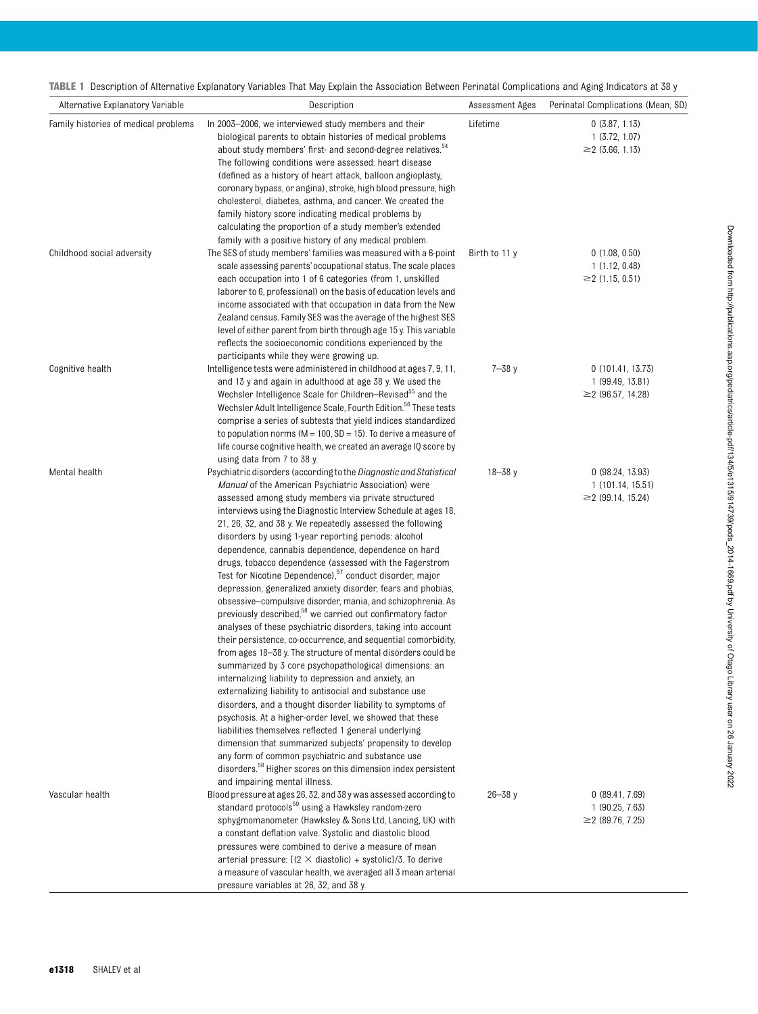TABLE 1 Description of Alternative Explanatory Variables That May Explain the Association Between Perinatal Complications and Aging Indicators at 38 y

| Alternative Explanatory Variable     | Description                                                                                                                        | Assessment Ages | Perinatal Complications (Mean, SD)          |
|--------------------------------------|------------------------------------------------------------------------------------------------------------------------------------|-----------------|---------------------------------------------|
| Family histories of medical problems | In 2003–2006, we interviewed study members and their<br>biological parents to obtain histories of medical problems                 | Lifetime        | 0(3.87, 1.13)<br>1(3.72, 1.07)              |
|                                      | about study members' first- and second-degree relatives. <sup>54</sup>                                                             |                 | $\geq$ (3.66, 1.13)                         |
|                                      | The following conditions were assessed: heart disease<br>(defined as a history of heart attack, balloon angioplasty,               |                 |                                             |
|                                      | coronary bypass, or angina), stroke, high blood pressure, high                                                                     |                 |                                             |
|                                      | cholesterol, diabetes, asthma, and cancer. We created the                                                                          |                 |                                             |
|                                      | family history score indicating medical problems by                                                                                |                 |                                             |
|                                      | calculating the proportion of a study member's extended                                                                            |                 |                                             |
|                                      | family with a positive history of any medical problem.                                                                             |                 |                                             |
| Childhood social adversity           | The SES of study members' families was measured with a 6-point                                                                     | Birth to 11 y   | 0(1.08, 0.50)                               |
|                                      | scale assessing parents' occupational status. The scale places                                                                     |                 | 1(1.12, 0.48)                               |
|                                      | each occupation into 1 of 6 categories (from 1, unskilled                                                                          |                 | $\geq$ (1.15, 0.51)                         |
|                                      | laborer to 6, professional) on the basis of education levels and                                                                   |                 |                                             |
|                                      | income associated with that occupation in data from the New                                                                        |                 |                                             |
|                                      | Zealand census. Family SES was the average of the highest SES<br>level of either parent from birth through age 15 y. This variable |                 |                                             |
|                                      | reflects the socioeconomic conditions experienced by the                                                                           |                 |                                             |
|                                      | participants while they were growing up.                                                                                           |                 |                                             |
| Cognitive health                     | Intelligence tests were administered in childhood at ages 7, 9, 11,                                                                | $7 - 38y$       | 0(101.41, 13.73)                            |
|                                      | and 13 y and again in adulthood at age 38 y. We used the                                                                           |                 | 1 (99.49, 13.81)                            |
|                                      | Wechsler Intelligence Scale for Children-Revised <sup>55</sup> and the                                                             |                 | $\geq$ (96.57, 14.28)                       |
|                                      | Wechsler Adult Intelligence Scale, Fourth Edition. <sup>56</sup> These tests                                                       |                 |                                             |
|                                      | comprise a series of subtests that yield indices standardized                                                                      |                 |                                             |
|                                      | to population norms ( $M = 100$ , $SD = 15$ ). To derive a measure of                                                              |                 |                                             |
|                                      | life course cognitive health, we created an average IQ score by                                                                    |                 |                                             |
|                                      | using data from 7 to 38 y.                                                                                                         |                 |                                             |
| Mental health                        | Psychiatric disorders (according to the Diagnostic and Statistical                                                                 | $18 - 38y$      | 0(98.24, 13.93)                             |
|                                      | <i>Manual</i> of the American Psychiatric Association) were                                                                        |                 | 1(101.14, 15.51)<br>$\geq$ 2 (99.14, 15.24) |
|                                      | assessed among study members via private structured<br>interviews using the Diagnostic Interview Schedule at ages 18,              |                 |                                             |
|                                      | 21, 26, 32, and 38 y. We repeatedly assessed the following                                                                         |                 |                                             |
|                                      | disorders by using 1-year reporting periods: alcohol                                                                               |                 |                                             |
|                                      | dependence, cannabis dependence, dependence on hard                                                                                |                 |                                             |
|                                      | drugs, tobacco dependence (assessed with the Fagerstrom                                                                            |                 |                                             |
|                                      | Test for Nicotine Dependence), <sup>57</sup> conduct disorder, major                                                               |                 |                                             |
|                                      | depression, generalized anxiety disorder, fears and phobias,                                                                       |                 |                                             |
|                                      | obsessive-compulsive disorder, mania, and schizophrenia. As                                                                        |                 |                                             |
|                                      | previously described, <sup>58</sup> we carried out confirmatory factor                                                             |                 |                                             |
|                                      | analyses of these psychiatric disorders, taking into account                                                                       |                 |                                             |
|                                      | their persistence, co-occurrence, and sequential comorbidity,                                                                      |                 |                                             |
|                                      | from ages 18-38 y. The structure of mental disorders could be                                                                      |                 |                                             |
|                                      | summarized by 3 core psychopathological dimensions: an<br>internalizing liability to depression and anxiety, an                    |                 |                                             |
|                                      | externalizing liability to antisocial and substance use                                                                            |                 |                                             |
|                                      | disorders, and a thought disorder liability to symptoms of                                                                         |                 |                                             |
|                                      | psychosis. At a higher-order level, we showed that these                                                                           |                 |                                             |
|                                      | liabilities themselves reflected 1 general underlying                                                                              |                 |                                             |
|                                      | dimension that summarized subjects' propensity to develop                                                                          |                 |                                             |
|                                      | any form of common psychiatric and substance use                                                                                   |                 |                                             |
|                                      | disorders. <sup>58</sup> Higher scores on this dimension index persistent                                                          |                 |                                             |
|                                      | and impairing mental illness.                                                                                                      |                 |                                             |
| Vascular health                      | Blood pressure at ages 26, 32, and 38 y was assessed according to                                                                  | $26 - 38y$      | 0(89.41, 7.69)                              |
|                                      | standard protocols <sup>59</sup> using a Hawksley random-zero                                                                      |                 | 1(90.25, 7.63)                              |
|                                      | sphygmomanometer (Hawksley & Sons Ltd, Lancing, UK) with                                                                           |                 | $\geq$ (89.76, 7.25)                        |
|                                      | a constant deflation valve. Systolic and diastolic blood<br>pressures were combined to derive a measure of mean                    |                 |                                             |
|                                      | arterial pressure: $[(2 \times \text{diastolic}) + \text{systolic}]/3$ . To derive                                                 |                 |                                             |
|                                      | a measure of vascular health, we averaged all 3 mean arterial                                                                      |                 |                                             |
|                                      | pressure variables at 26, 32, and 38 y.                                                                                            |                 |                                             |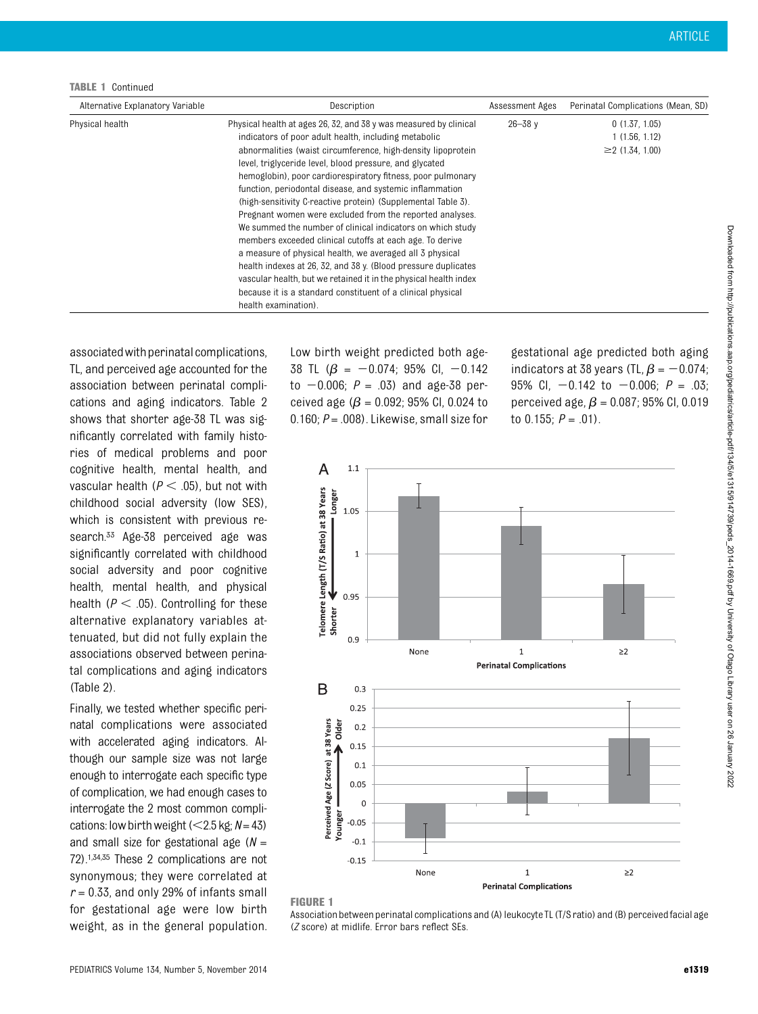TABLE 1 Continued

associated with perinatal complications, TL, and perceived age accounted for the association between perinatal complications and aging indicators. Table 2 shows that shorter age-38 TL was significantly correlated with family histories of medical problems and poor cognitive health, mental health, and vascular health ( $P < .05$ ), but not with childhood social adversity (low SES), which is consistent with previous research.<sup>33</sup> Age-38 perceived age was significantly correlated with childhood social adversity and poor cognitive health, mental health, and physical health ( $P < .05$ ). Controlling for these alternative explanatory variables attenuated, but did not fully explain the associations observed between perinatal complications and aging indicators (Table 2).

Finally, we tested whether specific perinatal complications were associated with accelerated aging indicators. Although our sample size was not large enough to interrogate each specific type of complication, we had enough cases to interrogate the 2 most common complications: low birth weight ( $<$ 2.5 kg; N= 43) and small size for gestational age  $(N =$ 72).1,34,35 These 2 complications are not synonymous; they were correlated at  $r = 0.33$ , and only 29% of infants small for gestational age were low birth weight, as in the general population. Low birth weight predicted both age-38 TL  $(\beta = -0.074; 95\% \text{ Cl}, -0.142)$ to  $-0.006$ ;  $P = .03$ ) and age-38 perceived age ( $\beta$  = 0.092; 95% CI, 0.024 to 0.160;  $P = .008$ ). Likewise, small size for gestational age predicted both aging indicators at 38 years (TL,  $\beta$  =  $-$  0.074; 95% CI,  $-0.142$  to  $-0.006$ ;  $P = .03$ ; perceived age,  $\beta$  = 0.087; 95% CI, 0.019 to 0.155;  $P = .01$ ).



### FIGURE 1

Association between perinatal complications and (A) leukocyte TL (T/S ratio) and (B) perceivedfacial age (Z score) at midlife. Error bars reflect SEs.

Downloaded from http://publications.aap.org/pediatrics/article-pdf/1348/315/61315/94129/peds\_2014-1669.pdf by University of Otago Library user on 26 January 2022 Downloaded from http://publications.aap.org/pediatrics/article-pdf/134/5/e1315/914739/peds\_2014-1669.pdf by University of Otago Library user on 26 January 2022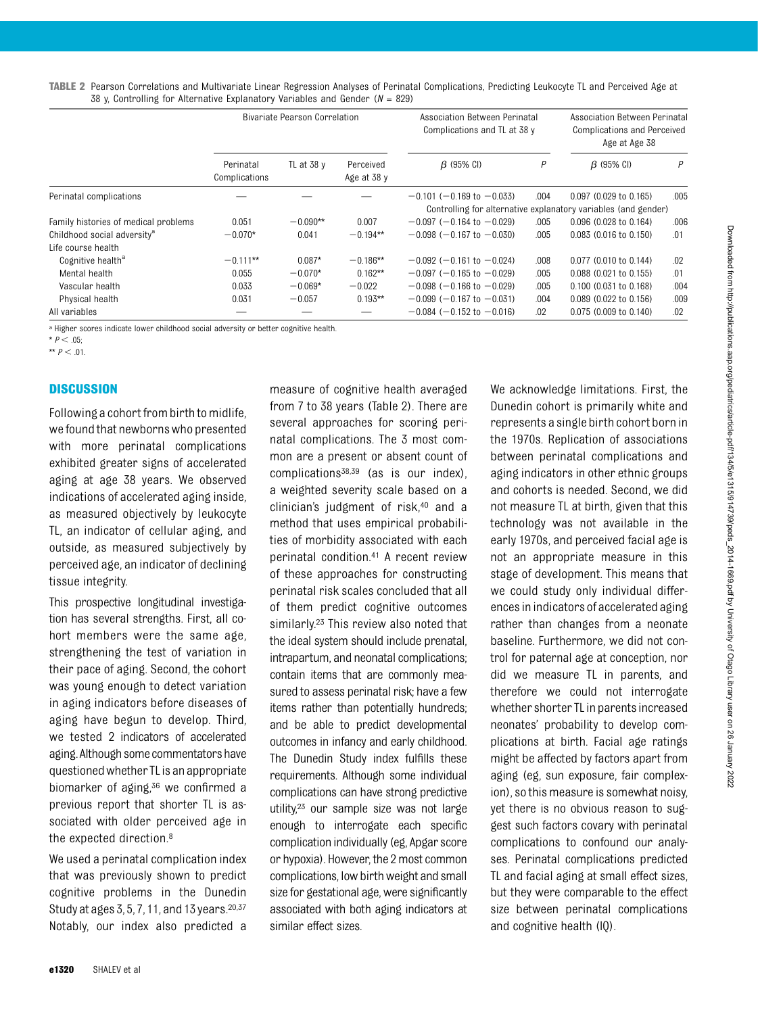TABLE 2 Pearson Correlations and Multivariate Linear Regression Analyses of Perinatal Complications, Predicting Leukocyte TL and Perceived Age at 38 y, Controlling for Alternative Explanatory Variables and Gender ( $N = 829$ )

|                                         | Bivariate Pearson Correlation |              |                          | Association Between Perinatal<br>Complications and TL at 38 y |      | Association Between Perinatal<br><b>Complications and Perceived</b><br>Age at Age 38       |      |
|-----------------------------------------|-------------------------------|--------------|--------------------------|---------------------------------------------------------------|------|--------------------------------------------------------------------------------------------|------|
|                                         | Perinatal<br>Complications    | TL at 38 $v$ | Perceived<br>Age at 38 y | $\beta$ (95% CI)                                              | Ρ    | $\beta$ (95% CI)                                                                           | P    |
| Perinatal complications                 |                               |              |                          | $-0.101$ (-0.169 to $-0.033$ )                                | .004 | $0.097$ (0.029 to 0.165)<br>Controlling for alternative explanatory variables (and gender) | .005 |
| Family histories of medical problems    | 0.051                         | $-0.090**$   | 0.007                    | $-0.097$ (-0.164 to $-0.029$ )                                | .005 | 0.096 (0.028 to 0.164)                                                                     | .006 |
| Childhood social adversity <sup>a</sup> | $-0.070*$                     | 0.041        | $-0.194**$               | $-0.098$ ( $-0.167$ to $-0.030$ )                             | .005 | 0.083 (0.016 to 0.150)                                                                     | .01  |
| Life course health                      |                               |              |                          |                                                               |      |                                                                                            |      |
| Cognitive health <sup>a</sup>           | $-0.111**$                    | $0.087*$     | $-0.186**$               | $-0.092$ (-0.161 to -0.024)                                   | .008 | 0.077 (0.010 to 0.144)                                                                     | .02  |
| Mental health                           | 0.055                         | $-0.070*$    | $0.162**$                | $-0.097$ ( $-0.165$ to $-0.029$ )                             | .005 | 0.088 (0.021 to 0.155)                                                                     | .01  |
| Vascular health                         | 0.033                         | $-0.069*$    | $-0.022$                 | $-0.098$ ( $-0.166$ to $-0.029$ )                             | .005 | 0.100 (0.031 to 0.168)                                                                     | .004 |
| Physical health                         | 0.031                         | $-0.057$     | $0.193**$                | $-0.099$ ( $-0.167$ to $-0.031$ )                             | .004 | 0.089 (0.022 to 0.156)                                                                     | .009 |
| All variables                           |                               |              |                          | $-0.084$ ( $-0.152$ to $-0.016$ )                             | .02  | 0.075 (0.009 to 0.140)                                                                     | .02  |

a Higher scores indicate lower childhood social adversity or better cognitive health.

\*\*  $P < .01$ .

#### **DISCUSSION**

Following a cohort from birth to midlife, we found that newborns who presented with more perinatal complications exhibited greater signs of accelerated aging at age 38 years. We observed indications of accelerated aging inside, as measured objectively by leukocyte TL, an indicator of cellular aging, and outside, as measured subjectively by perceived age, an indicator of declining tissue integrity.

This prospective longitudinal investigation has several strengths. First, all cohort members were the same age, strengthening the test of variation in their pace of aging. Second, the cohort was young enough to detect variation in aging indicators before diseases of aging have begun to develop. Third, we tested 2 indicators of accelerated aging. Although some commentators have questionedwhether TL is an appropriate biomarker of aging,<sup>36</sup> we confirmed a previous report that shorter TL is associated with older perceived age in the expected direction.8

We used a perinatal complication index that was previously shown to predict cognitive problems in the Dunedin Study at ages 3, 5, 7, 11, and 13 years.20,37 Notably, our index also predicted a

measure of cognitive health averaged from 7 to 38 years (Table 2). There are several approaches for scoring perinatal complications. The 3 most common are a present or absent count of complications38,39 (as is our index), a weighted severity scale based on a clinician's judgment of risk,<sup>40</sup> and a method that uses empirical probabilities of morbidity associated with each perinatal condition.41 A recent review of these approaches for constructing perinatal risk scales concluded that all of them predict cognitive outcomes similarly.<sup>23</sup> This review also noted that the ideal system should include prenatal, intrapartum, and neonatal complications; contain items that are commonly measured to assess perinatal risk; have a few items rather than potentially hundreds; and be able to predict developmental outcomes in infancy and early childhood. The Dunedin Study index fulfills these requirements. Although some individual complications can have strong predictive utility,<sup>23</sup> our sample size was not large enough to interrogate each specific complication individually (eg, Apgar score or hypoxia). However, the 2 most common complications, low birth weight and small size for gestational age, were significantly associated with both aging indicators at similar effect sizes.

We acknowledge limitations. First, the Dunedin cohort is primarily white and represents a single birth cohort born in the 1970s. Replication of associations between perinatal complications and aging indicators in other ethnic groups and cohorts is needed. Second, we did not measure TL at birth, given that this technology was not available in the early 1970s, and perceived facial age is not an appropriate measure in this stage of development. This means that we could study only individual differences in indicators of accelerated aging rather than changes from a neonate baseline. Furthermore, we did not control for paternal age at conception, nor did we measure TL in parents, and therefore we could not interrogate whether shorter TL in parents increased neonates' probability to develop complications at birth. Facial age ratings might be affected by factors apart from aging (eg, sun exposure, fair complexion), so this measure is somewhat noisy, yet there is no obvious reason to suggest such factors covary with perinatal complications to confound our analyses. Perinatal complications predicted TL and facial aging at small effect sizes, but they were comparable to the effect size between perinatal complications and cognitive health (IQ).

 $*$   $P < .05;$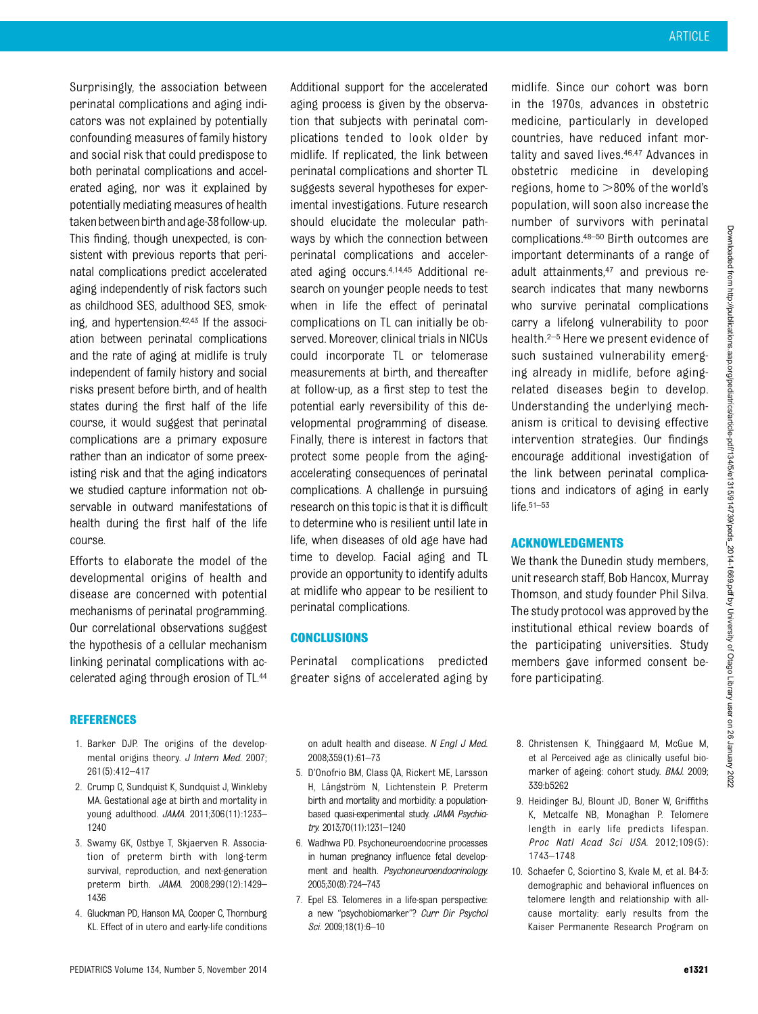Surprisingly, the association between perinatal complications and aging indicators was not explained by potentially confounding measures of family history and social risk that could predispose to both perinatal complications and accelerated aging, nor was it explained by potentially mediating measures of health taken between birth and age-38 follow-up. This finding, though unexpected, is consistent with previous reports that perinatal complications predict accelerated aging independently of risk factors such as childhood SES, adulthood SES, smoking, and hypertension.42,43 If the association between perinatal complications and the rate of aging at midlife is truly independent of family history and social risks present before birth, and of health states during the first half of the life course, it would suggest that perinatal complications are a primary exposure rather than an indicator of some preexisting risk and that the aging indicators we studied capture information not observable in outward manifestations of health during the first half of the life course.

Efforts to elaborate the model of the developmental origins of health and disease are concerned with potential mechanisms of perinatal programming. Our correlational observations suggest the hypothesis of a cellular mechanism linking perinatal complications with accelerated aging through erosion of TL.44

#### REFERENCES

- 1. Barker DJP. The origins of the developmental origins theory. J Intern Med. 2007; 261(5):412–417
- 2. Crump C, Sundquist K, Sundquist J, Winkleby MA. Gestational age at birth and mortality in young adulthood. JAMA. 2011;306(11):1233– 1240
- 3. Swamy GK, Ostbye T, Skjaerven R. Association of preterm birth with long-term survival, reproduction, and next-generation preterm birth. JAMA. 2008;299(12):1429– 1436
- 4. Gluckman PD, Hanson MA, Cooper C, Thornburg KL. Effect of in utero and early-life conditions

Additional support for the accelerated aging process is given by the observation that subjects with perinatal complications tended to look older by midlife. If replicated, the link between perinatal complications and shorter TL suggests several hypotheses for experimental investigations. Future research should elucidate the molecular pathways by which the connection between perinatal complications and accelerated aging occurs.4,14,45 Additional research on younger people needs to test when in life the effect of perinatal complications on TL can initially be observed. Moreover, clinical trials in NICUs could incorporate TL or telomerase measurements at birth, and thereafter at follow-up, as a first step to test the potential early reversibility of this developmental programming of disease. Finally, there is interest in factors that protect some people from the agingaccelerating consequences of perinatal complications. A challenge in pursuing research on this topic is that it is difficult to determine who is resilient until late in life, when diseases of old age have had time to develop. Facial aging and TL provide an opportunity to identify adults at midlife who appear to be resilient to perinatal complications.

## CONCLUSIONS

Perinatal complications predicted greater signs of accelerated aging by

midlife. Since our cohort was born in the 1970s, advances in obstetric medicine, particularly in developed countries, have reduced infant mortality and saved lives.<sup>46,47</sup> Advances in obstetric medicine in developing regions, home to  $>80\%$  of the world's population, will soon also increase the number of survivors with perinatal complications.48–<sup>50</sup> Birth outcomes are important determinants of a range of adult attainments,47 and previous research indicates that many newborns who survive perinatal complications carry a lifelong vulnerability to poor health.2–<sup>5</sup> Here we present evidence of such sustained vulnerability emerging already in midlife, before agingrelated diseases begin to develop. Understanding the underlying mechanism is critical to devising effective intervention strategies. Our findings encourage additional investigation of the link between perinatal complications and indicators of aging in early life.51–<sup>53</sup>

## ACKNOWLEDGMENTS

We thank the Dunedin study members. unit research staff, Bob Hancox, Murray Thomson, and study founder Phil Silva. The study protocol was approved by the institutional ethical review boards of the participating universities. Study members gave informed consent before participating.

on adult health and disease. N Engl J Med. 2008;359(1):61–73

- 5. D'Onofrio BM, Class QA, Rickert ME, Larsson H, Långström N, Lichtenstein P. Preterm birth and mortality and morbidity: a populationbased quasi-experimental study. JAMA Psychiatry. 2013;70(11):1231–1240
- 6. Wadhwa PD. Psychoneuroendocrine processes in human pregnancy influence fetal development and health. Psychoneuroendocrinology. 2005;30(8):724–743
- 7. Epel ES. Telomeres in a life-span perspective: a new "psychobiomarker"? Curr Dir Psychol Sci. 2009;18(1):6–10
- 8. Christensen K, Thinggaard M, McGue M, et al Perceived age as clinically useful biomarker of ageing: cohort study. BMJ. 2009; 339:b5262
- 9. Heidinger BJ, Blount JD, Boner W, Griffiths K, Metcalfe NB, Monaghan P. Telomere length in early life predicts lifespan. Proc Natl Acad Sci USA. 2012;109(5): 1743–1748
- 10. Schaefer C, Sciortino S, Kvale M, et al. B4-3: demographic and behavioral influences on telomere length and relationship with allcause mortality: early results from the Kaiser Permanente Research Program on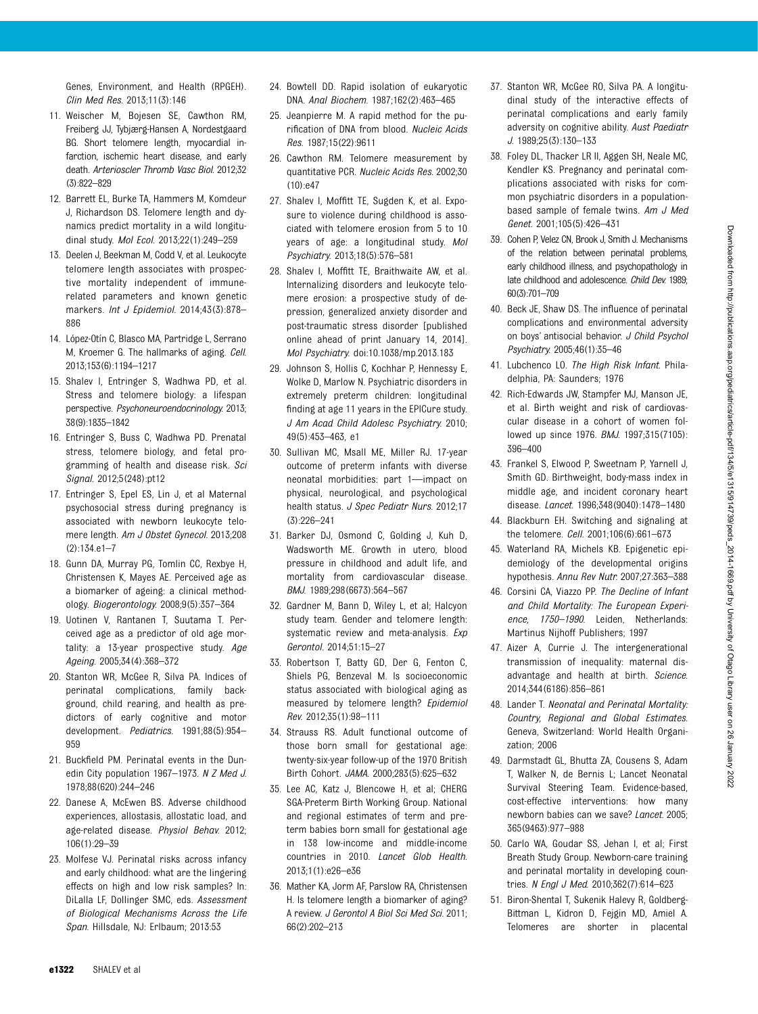Genes, Environment, and Health (RPGEH). Clin Med Res. 2013;11(3):146

- 11. Weischer M, Bojesen SE, Cawthon RM, Freiberg JJ, Tybjærg-Hansen A, Nordestgaard BG. Short telomere length, myocardial infarction, ischemic heart disease, and early death. Arterioscler Thromb Vasc Biol. 2012;32 (3):822–829
- 12. Barrett EL, Burke TA, Hammers M, Komdeur J, Richardson DS. Telomere length and dynamics predict mortality in a wild longitudinal study. Mol Ecol. 2013;22(1):249–259
- 13. Deelen J, Beekman M, Codd V, et al. Leukocyte telomere length associates with prospective mortality independent of immunerelated parameters and known genetic markers. Int J Epidemiol. 2014;43(3):878-886
- 14. López-Otín C, Blasco MA, Partridge L, Serrano M, Kroemer G. The hallmarks of aging. Cell. 2013;153(6):1194–1217
- 15. Shalev I, Entringer S, Wadhwa PD, et al. Stress and telomere biology: a lifespan perspective. Psychoneuroendocrinology. 2013; 38(9):1835–1842
- 16. Entringer S, Buss C, Wadhwa PD. Prenatal stress, telomere biology, and fetal programming of health and disease risk. Sci Signal. 2012;5(248):pt12
- 17. Entringer S, Epel ES, Lin J, et al Maternal psychosocial stress during pregnancy is associated with newborn leukocyte telomere length. Am J Obstet Gynecol. 2013;208 (2):134.e1–7
- 18. Gunn DA, Murray PG, Tomlin CC, Rexbye H, Christensen K, Mayes AE. Perceived age as a biomarker of ageing: a clinical methodology. Biogerontology. 2008;9(5):357–364
- 19. Uotinen V, Rantanen T, Suutama T. Perceived age as a predictor of old age mortality: a 13-year prospective study. Age Ageing. 2005;34(4):368–372
- 20. Stanton WR, McGee R, Silva PA. Indices of perinatal complications, family background, child rearing, and health as predictors of early cognitive and motor development. Pediatrics. 1991;88(5):954– 959
- 21. Buckfield PM. Perinatal events in the Dunedin City population 1967-1973. N Z Med J. 1978;88(620):244–246
- 22. Danese A, McEwen BS. Adverse childhood experiences, allostasis, allostatic load, and age-related disease. Physiol Behav. 2012; 106(1):29–39
- 23. Molfese VJ. Perinatal risks across infancy and early childhood: what are the lingering effects on high and low risk samples? In: DiLalla LF, Dollinger SMC, eds. Assessment of Biological Mechanisms Across the Life Span. Hillsdale, NJ: Erlbaum; 2013:53
- 24. Bowtell DD. Rapid isolation of eukaryotic DNA. Anal Biochem. 1987;162(2):463–465
- 25. Jeanpierre M. A rapid method for the purification of DNA from blood. Nucleic Acids Res. 1987;15(22):9611
- 26. Cawthon RM. Telomere measurement by quantitative PCR. Nucleic Acids Res. 2002;30  $(10)$  $e47$
- 27. Shalev I, Moffitt TE, Sugden K, et al. Exposure to violence during childhood is associated with telomere erosion from 5 to 10 years of age: a longitudinal study. Mol Psychiatry. 2013;18(5):576–581
- 28. Shalev I, Moffitt TE, Braithwaite AW, et al. Internalizing disorders and leukocyte telomere erosion: a prospective study of depression, generalized anxiety disorder and post-traumatic stress disorder [published online ahead of print January 14, 2014]. Mol Psychiatry. doi:10.1038/mp.2013.183
- 29. Johnson S, Hollis C, Kochhar P, Hennessy E, Wolke D, Marlow N. Psychiatric disorders in extremely preterm children: longitudinal finding at age 11 years in the EPICure study. J Am Acad Child Adolesc Psychiatry. 2010; 49(5):453–463, e1
- 30. Sullivan MC, Msall ME, Miller RJ. 17-year outcome of preterm infants with diverse neonatal morbidities: part 1—impact on physical, neurological, and psychological health status. J Spec Pediatr Nurs. 2012;17 (3):226–241
- 31. Barker DJ, Osmond C, Golding J, Kuh D, Wadsworth ME. Growth in utero, blood pressure in childhood and adult life, and mortality from cardiovascular disease. BMJ. 1989;298(6673):564–567
- 32. Gardner M, Bann D, Wiley L, et al; Halcyon study team. Gender and telomere length: systematic review and meta-analysis. Exp Gerontol. 2014;51:15–27
- 33. Robertson T, Batty GD, Der G, Fenton C, Shiels PG, Benzeval M. Is socioeconomic status associated with biological aging as measured by telomere length? Epidemiol Rev. 2012;35(1):98–111
- 34. Strauss RS. Adult functional outcome of those born small for gestational age: twenty-six-year follow-up of the 1970 British Birth Cohort. JAMA. 2000;283(5):625–632
- 35. Lee AC, Katz J, Blencowe H, et al; CHERG SGA-Preterm Birth Working Group. National and regional estimates of term and preterm babies born small for gestational age in 138 low-income and middle-income countries in 2010. Lancet Glob Health. 2013;1(1):e26–e36
- 36. Mather KA, Jorm AF, Parslow RA, Christensen H. Is telomere length a biomarker of aging? A review. J Gerontol A Biol Sci Med Sci. 2011; 66(2):202–213
- 37. Stanton WR, McGee RO, Silva PA. A longitudinal study of the interactive effects of perinatal complications and early family adversity on cognitive ability. Aust Paediatr J. 1989;25(3):130–133
- 38. Foley DL, Thacker LR II, Aggen SH, Neale MC, Kendler KS. Pregnancy and perinatal complications associated with risks for common psychiatric disorders in a populationbased sample of female twins. Am J Med Genet. 2001;105(5):426–431
- 39. Cohen P, Velez CN, Brook J, Smith J. Mechanisms of the relation between perinatal problems, early childhood illness, and psychopathology in late childhood and adolescence. Child Dev. 1989; 60(3):701–709
- 40. Beck JE, Shaw DS. The influence of perinatal complications and environmental adversity on boys' antisocial behavior. J Child Psychol Psychiatry. 2005;46(1):35–46
- 41. Lubchenco LO. The High Risk Infant. Philadelphia, PA: Saunders; 1976
- 42. Rich-Edwards JW, Stampfer MJ, Manson JE, et al. Birth weight and risk of cardiovascular disease in a cohort of women followed up since 1976. BMJ. 1997;315(7105): 396–400
- 43. Frankel S, Elwood P, Sweetnam P, Yarnell J, Smith GD. Birthweight, body-mass index in middle age, and incident coronary heart disease. Lancet. 1996;348(9040):1478–1480
- 44. Blackburn EH. Switching and signaling at the telomere. Cell. 2001;106(6):661–673
- 45. Waterland RA, Michels KB. Epigenetic epidemiology of the developmental origins hypothesis. Annu Rev Nutr. 2007;27:363–388
- 46. Corsini CA, Viazzo PP. The Decline of Infant and Child Mortality: The European Experience, 1750–1990. Leiden, Netherlands: Martinus Nijhoff Publishers; 1997
- 47. Aizer A, Currie J. The intergenerational transmission of inequality: maternal disadvantage and health at birth. Science. 2014;344(6186):856–861
- 48. Lander T. Neonatal and Perinatal Mortality: Country, Regional and Global Estimates. Geneva, Switzerland: World Health Organization; 2006
- 49. Darmstadt GL, Bhutta ZA, Cousens S, Adam T, Walker N, de Bernis L; Lancet Neonatal Survival Steering Team. Evidence-based, cost-effective interventions: how many newborn babies can we save? Lancet. 2005; 365(9463):977–988
- 50. Carlo WA, Goudar SS, Jehan I, et al; First Breath Study Group. Newborn-care training and perinatal mortality in developing countries. N Engl J Med. 2010;362(7):614-623
- 51. Biron-Shental T, Sukenik Halevy R, Goldberg-Bittman L, Kidron D, Fejgin MD, Amiel A. Telomeres are shorter in placental